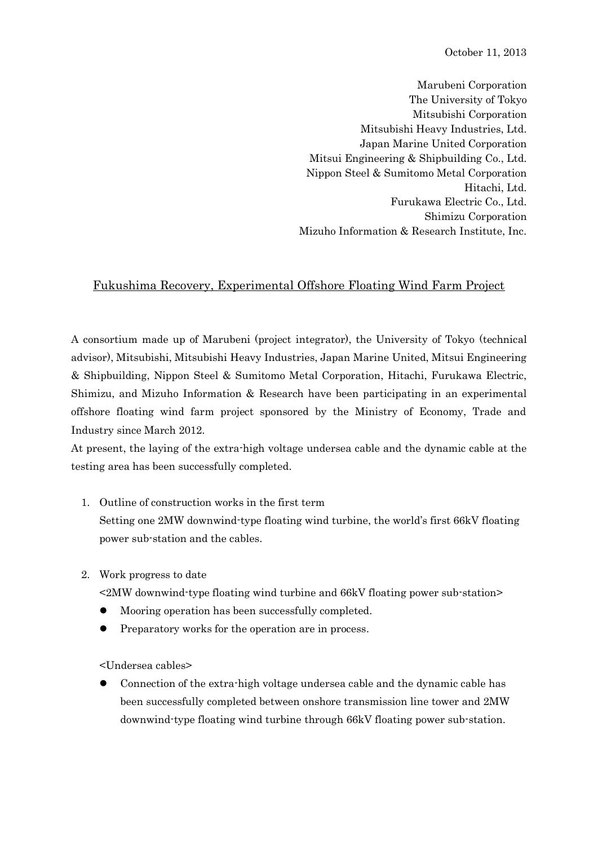October 11, 2013

Marubeni Corporation The University of Tokyo Mitsubishi Corporation Mitsubishi Heavy Industries, Ltd. Japan Marine United Corporation Mitsui Engineering & Shipbuilding Co., Ltd. Nippon Steel & Sumitomo Metal Corporation Hitachi, Ltd. Furukawa Electric Co., Ltd. Shimizu Corporation Mizuho Information & Research Institute, Inc.

## Fukushima Recovery, Experimental Offshore Floating Wind Farm Project

A consortium made up of Marubeni (project integrator), the University of Tokyo (technical advisor), Mitsubishi, Mitsubishi Heavy Industries, Japan Marine United, Mitsui Engineering & Shipbuilding, Nippon Steel & Sumitomo Metal Corporation, Hitachi, Furukawa Electric, Shimizu, and Mizuho Information & Research have been participating in an experimental offshore floating wind farm project sponsored by the Ministry of Economy, Trade and Industry since March 2012.

At present, the laying of the extra-high voltage undersea cable and the dynamic cable at the testing area has been successfully completed.

1. Outline of construction works in the first term

Setting one 2MW downwind-type floating wind turbine, the world's first 66kV floating power sub-station and the cables.

2. Work progress to date

<2MW downwind-type floating wind turbine and 66kV floating power sub-station>

- Mooring operation has been successfully completed.
- Preparatory works for the operation are in process.

<Undersea cables>

 Connection of the extra-high voltage undersea cable and the dynamic cable has been successfully completed between onshore transmission line tower and 2MW downwind-type floating wind turbine through 66kV floating power sub-station.